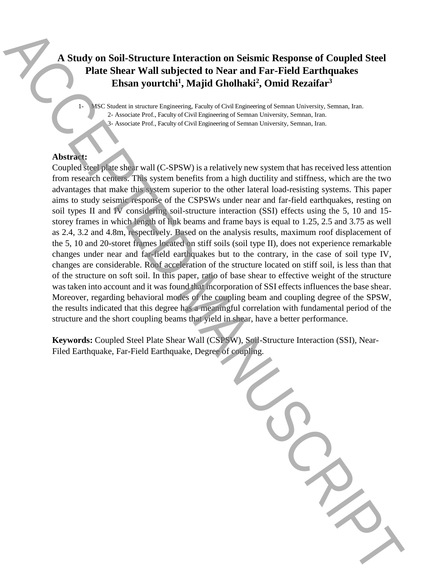# **A Study on Soil-Structure Interaction on Seismic Response of Coupled Steel Plate Shear Wall subjected to Near and Far-Field Earthquakes Ehsan yourtchi<sup>1</sup> , Majid Gholhaki<sup>2</sup> , Omid Rezaifar<sup>3</sup>**

1- MSC Student in structure Engineering, Faculty of Civil Engineering of Semnan University, Semnan, Iran. 2- Associate Prof., Faculty of Civil Engineering of Semnan University, Semnan, Iran. 3- Associate Prof., Faculty of Civil Engineering of Semnan University, Semnan, Iran.

# **Abstract:**

Coupled steel plate shear wall (C-SPSW) is a relatively new system that has received less attention from research centers. This system benefits from a high ductility and stiffness, which are the two advantages that make this system superior to the other lateral load-resisting systems. This paper aims to study seismic response of the CSPSWs under near and far-field earthquakes, resting on soil types II and  $\overline{W}$  considering soil-structure interaction (SSI) effects using the 5, 10 and 15storey frames in which length of link beams and frame bays is equal to 1.25, 2.5 and 3.75 as well as 2.4, 3.2 and 4.8m, respectively. Based on the analysis results, maximum roof displacement of the 5, 10 and 20-storet frames located on stiff soils (soil type II), does not experience remarkable changes under near and far-field earthquakes but to the contrary, in the case of soil type IV, changes are considerable. Roof acceleration of the structure located on stiff soil, is less than that of the structure on soft soil. In this paper, ratio of base shear to effective weight of the structure was taken into account and it was found that incorporation of SSI effects influences the base shear. Moreover, regarding behavioral modes of the coupling beam and coupling degree of the SPSW, the results indicated that this degree has a meaningful correlation with fundamental period of the structure and the short coupling beams that yield in shear, have a better performance. **A Study on Soli-Structure Interaction on Seismic Response of Coupled Steel<br>
Plate Shear Wall subjected to Near and Far-Field Earthquakes<br>
Finan your tehat, Wajjid Gholhake, Omid Rezultar<sup>1</sup><br>
The state of coupling and the** 

**Keywords:** Coupled Steel Plate Shear Wall (CSPSW), Soil-Structure Interaction (SSI), Near-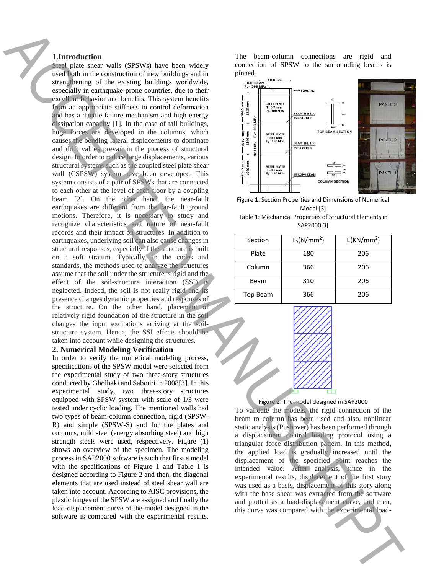## **1.Introduction**

Steel plate shear walls (SPSWs) have been widely used both in the construction of new buildings and in strengthening of the existing buildings worldwide, especially in earthquake-prone countries, due to their excellent behavior and benefits. This system benefits from an appropriate stiffness to control deformation and has a ductile failure mechanism and high energy dissipation capacity [1]. In the case of tall buildings, huge forces are developed in the columns, which causes the bending lateral displacements to dominate and drift values prevail in the process of structural design. In order to reduce large displacements, various structural systems such as the coupled steel plate shear wall (CSPSW) system have been developed. This system consists of a pair of SPSWs that are connected to each other at the level of each floor by a coupling beam [2]. On the other hand, the near-fault earthquakes are different from the far-fault ground motions. Therefore, it is necessary to study and recognize characteristics and nature of near-fault records and their impact on structures. In addition to earthquakes, underlying soil can also cause changes in structural responses, especially if the structure is built on a soft stratum. Typically, in the codes and standards, the methods used to analyze the structures assume that the soil under the structure is rigid and the effect of the soil-structure interaction (SSI) is neglected. Indeed, the soil is not really rigid and its presence changes dynamic properties and responses of the structure. On the other hand, placement of relatively rigid foundation of the structure in the soil changes the input excitations arriving at the soilstructure system. Hence, the SSI effects should be taken into account while designing the structures. The boundary control is a set of the set of the set of the set of the set of the set of the set of the set of the set of the set of the set of the set of the set of the set of the set of the set of the set of the set of t

# **2. Numerical Modeling Verification**

In order to verify the numerical modeling process, specifications of the SPSW model were selected from the experimental study of two three-story structures conducted by Gholhaki and Sabouri in 2008[3]. In this experimental study, two three-story structures equipped with SPSW system with scale of 1/3 were tested under cyclic loading. The mentioned walls had two types of beam-column connection, rigid (SPSW-R) and simple (SPSW-S) and for the plates and columns, mild steel (energy absorbing steel) and high strength steels were used, respectively. Figure (1) shows an overview of the specimen. The modeling process in SAP2000 software is such that first a model with the specifications of Figure 1 and Table 1 is designed according to Figure 2 and then, the diagonal elements that are used instead of steel shear wall are taken into account. According to AISC provisions, the plastic hinges of the SPSW are assigned and finally the load-displacement curve of the model designed in the software is compared with the experimental results.

The beam-column connections are rigid and connection of SPSW to the surrounding beams is pinned.



Figure 1: Section Properties and Dimensions of Numerical Model [3]

Table 1: Mechanical Properties of Structural Elements in SAP2000[3]

| Section         | $F_y(N/mm^2)$ | E(KN/mm <sup>2</sup> ) |
|-----------------|---------------|------------------------|
| Plate           | 180           | 206                    |
| Column          | 366           | 206                    |
| Beam            | 310           | 206                    |
| <b>Top Beam</b> | 366           | 206                    |



#### Figure 2: The model designed in SAP2000

To validate the models, the rigid connection of the beam to column has been used and also, nonlinear static analysis (Pushover) has been performed through a displacement control loading protocol using a triangular force distribution pattern. In this method, the applied load is gradually increased until the displacement of the specified point reaches the intended value. After analysis, since in the experimental results, displacement of the first story was used as a basis, displacement of this story along with the base shear was extracted from the software and plotted as a load-displacement curve, and then, this curve was compared with the experimental load-